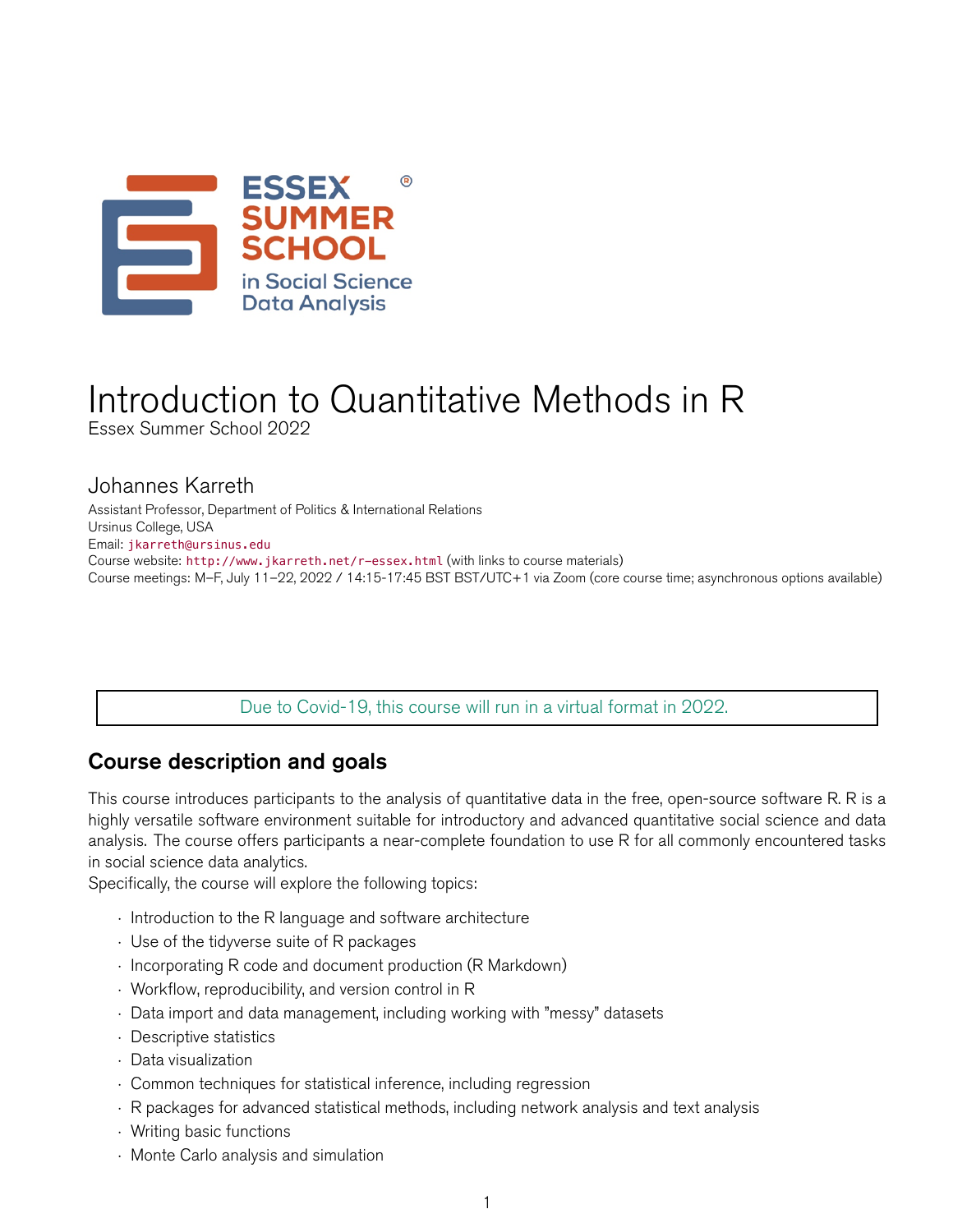

# Introduction to Quantitative Methods in R

Essex Summer School 2022

## Johannes Karreth

Assistant Professor, Department of Politics & International Relations Ursinus College, USA Email: [jkarreth@ursinus.edu](mailto:jkarreth@ursinus.edu) Course website: <http://www.jkarreth.net/r-essex.html> (with links to course materials) Course meetings: M–F, July 11–22, 2022 / 14:15-17:45 BST BST/UTC+1 via Zoom (core course time; asynchronous options available)

Due to Covid-19, this course will run in a virtual format in 2022.

# Course description and goals

This course introduces participants to the analysis of quantitative data in the free, open-source software R. R is a highly versatile software environment suitable for introductory and advanced quantitative social science and data analysis. The course offers participants a near-complete foundation to use R for all commonly encountered tasks in social science data analytics.

Specifically, the course will explore the following topics:

- *·* Introduction to the R language and software architecture
- *·* Use of the tidyverse suite of R packages
- *·* Incorporating R code and document production (R Markdown)
- *·* Workflow, reproducibility, and version control in R
- *·* Data import and data management, including working with "messy" datasets
- *·* Descriptive statistics
- *·* Data visualization
- *·* Common techniques for statistical inference, including regression
- *·* R packages for advanced statistical methods, including network analysis and text analysis
- *·* Writing basic functions
- *·* Monte Carlo analysis and simulation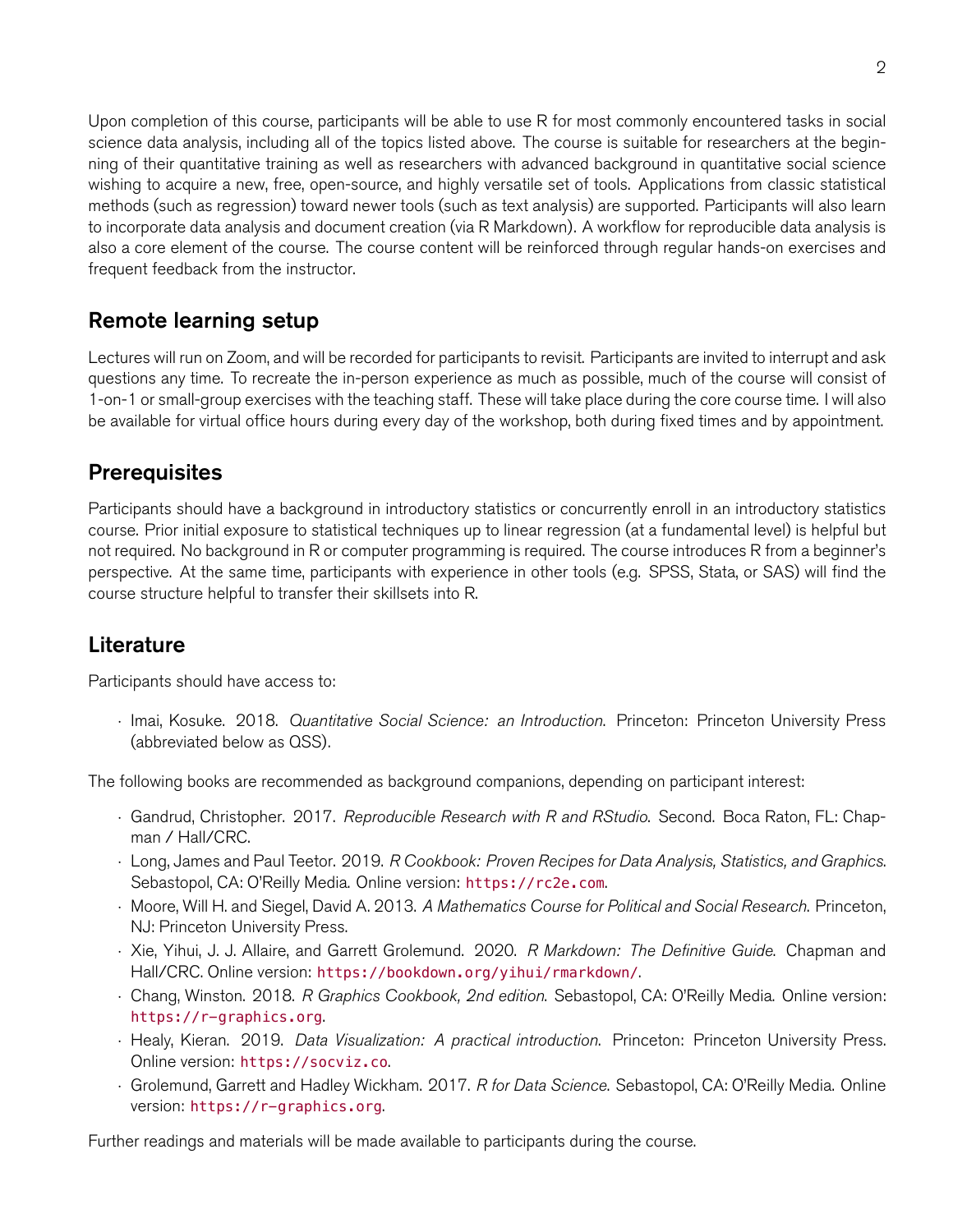Upon completion of this course, participants will be able to use R for most commonly encountered tasks in social science data analysis, including all of the topics listed above. The course is suitable for researchers at the beginning of their quantitative training as well as researchers with advanced background in quantitative social science wishing to acquire a new, free, open-source, and highly versatile set of tools. Applications from classic statistical methods (such as regression) toward newer tools (such as text analysis) are supported. Participants will also learn to incorporate data analysis and document creation (via R Markdown). A workflow for reproducible data analysis is also a core element of the course. The course content will be reinforced through regular hands-on exercises and frequent feedback from the instructor.

# Remote learning setup

Lectures will run on Zoom, and will be recorded for participants to revisit. Participants are invited to interrupt and ask questions any time. To recreate the in-person experience as much as possible, much of the course will consist of 1-on-1 or small-group exercises with the teaching staff. These will take place during the core course time. I will also be available for virtual office hours during every day of the workshop, both during fixed times and by appointment.

## **Prerequisites**

Participants should have a background in introductory statistics or concurrently enroll in an introductory statistics course. Prior initial exposure to statistical techniques up to linear regression (at a fundamental level) is helpful but not required. No background in R or computer programming is required. The course introduces R from a beginner's perspective. At the same time, participants with experience in other tools (e.g. SPSS, Stata, or SAS) will find the course structure helpful to transfer their skillsets into R.

# Literature

Participants should have access to:

*·* Imai, Kosuke. 2018. *Quantitative Social Science: an Introduction*. Princeton: Princeton University Press (abbreviated below as QSS).

The following books are recommended as background companions, depending on participant interest:

- *·* Gandrud, Christopher. 2017. *Reproducible Research with R and RStudio*. Second. Boca Raton, FL: Chapman / Hall/CRC.
- *·* Long, James and Paul Teetor. 2019. *R Cookbook: Proven Recipes for Data Analysis, Statistics, and Graphics*. Sebastopol, CA: O'Reilly Media. Online version: <https://rc2e.com>.
- *·* Moore, Will H. and Siegel, David A. 2013. *A Mathematics Course for Political and Social Research*. Princeton, NJ: Princeton University Press.
- *·* Xie, Yihui, J. J. Allaire, and Garrett Grolemund. 2020. *R Markdown: The Definitive Guide*. Chapman and Hall/CRC. Online version: <https://bookdown.org/yihui/rmarkdown/>.
- *·* Chang, Winston. 2018. *R Graphics Cookbook, 2nd edition*. Sebastopol, CA: O'Reilly Media. Online version: <https://r-graphics.org>.
- *·* Healy, Kieran. 2019. *Data Visualization: A practical introduction*. Princeton: Princeton University Press. Online version: <https://socviz.co>.
- *·* Grolemund, Garrett and Hadley Wickham. 2017. *R for Data Science*. Sebastopol, CA: O'Reilly Media. Online version: <https://r-graphics.org>.

Further readings and materials will be made available to participants during the course.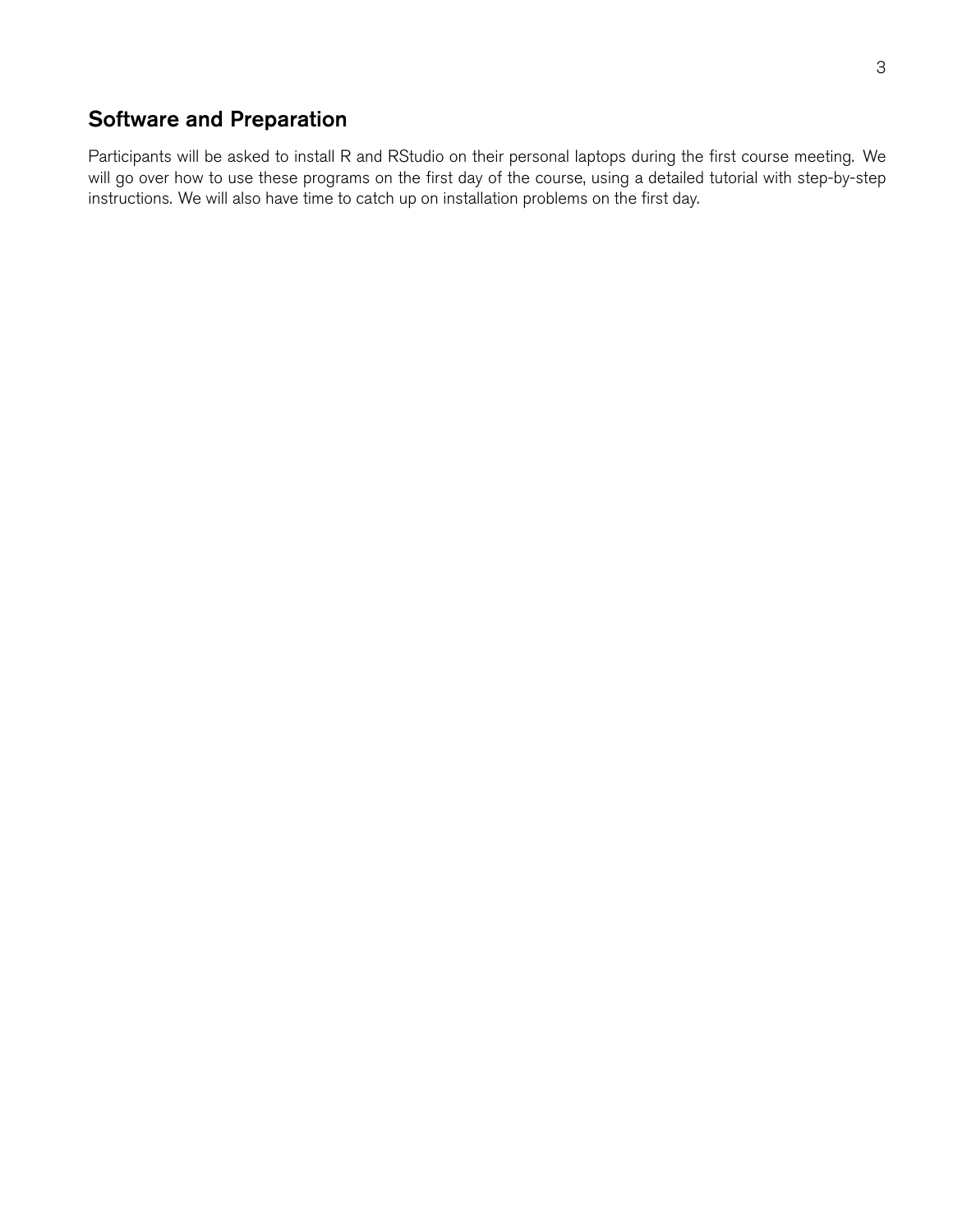## Software and Preparation

Participants will be asked to install R and RStudio on their personal laptops during the first course meeting. We will go over how to use these programs on the first day of the course, using a detailed tutorial with step-by-step instructions. We will also have time to catch up on installation problems on the first day.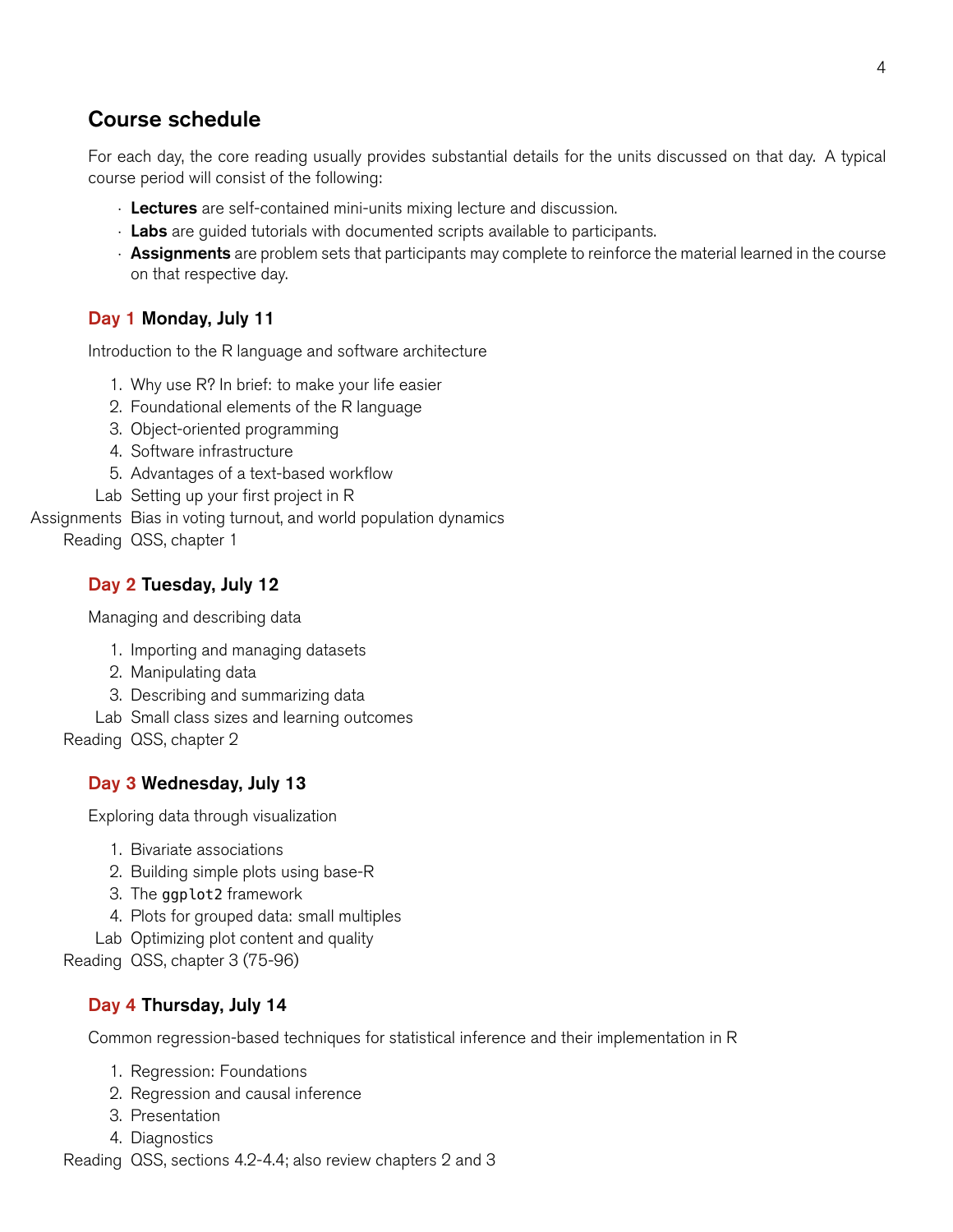# Course schedule

For each day, the core reading usually provides substantial details for the units discussed on that day. A typical course period will consist of the following:

- *·* Lectures are self-contained mini-units mixing lecture and discussion.
- *·* Labs are guided tutorials with documented scripts available to participants.
- *·* Assignments are problem sets that participants may complete to reinforce the material learned in the course on that respective day.

## Day 1 Monday, July 11

Introduction to the R language and software architecture

- 1. Why use R? In brief: to make your life easier
- 2. Foundational elements of the R language
- 3. Object-oriented programming
- 4. Software infrastructure
- 5. Advantages of a text-based workflow
- Lab Setting up your first project in R

Assignments Bias in voting turnout, and world population dynamics Reading QSS, chapter 1

## Day 2 Tuesday, July 12

Managing and describing data

- 1. Importing and managing datasets
- 2. Manipulating data
- 3. Describing and summarizing data
- Lab Small class sizes and learning outcomes

Reading QSS, chapter 2

## Day 3 Wednesday, July 13

Exploring data through visualization

- 1. Bivariate associations
- 2. Building simple plots using base-R
- 3. The ggplot2 framework
- 4. Plots for grouped data: small multiples
- Lab Optimizing plot content and quality

Reading QSS, chapter 3 (75-96)

## Day 4 Thursday, July 14

Common regression-based techniques for statistical inference and their implementation in R

- 1. Regression: Foundations
- 2. Regression and causal inference
- 3. Presentation
- 4. Diagnostics

Reading QSS, sections 4.2-4.4; also review chapters 2 and 3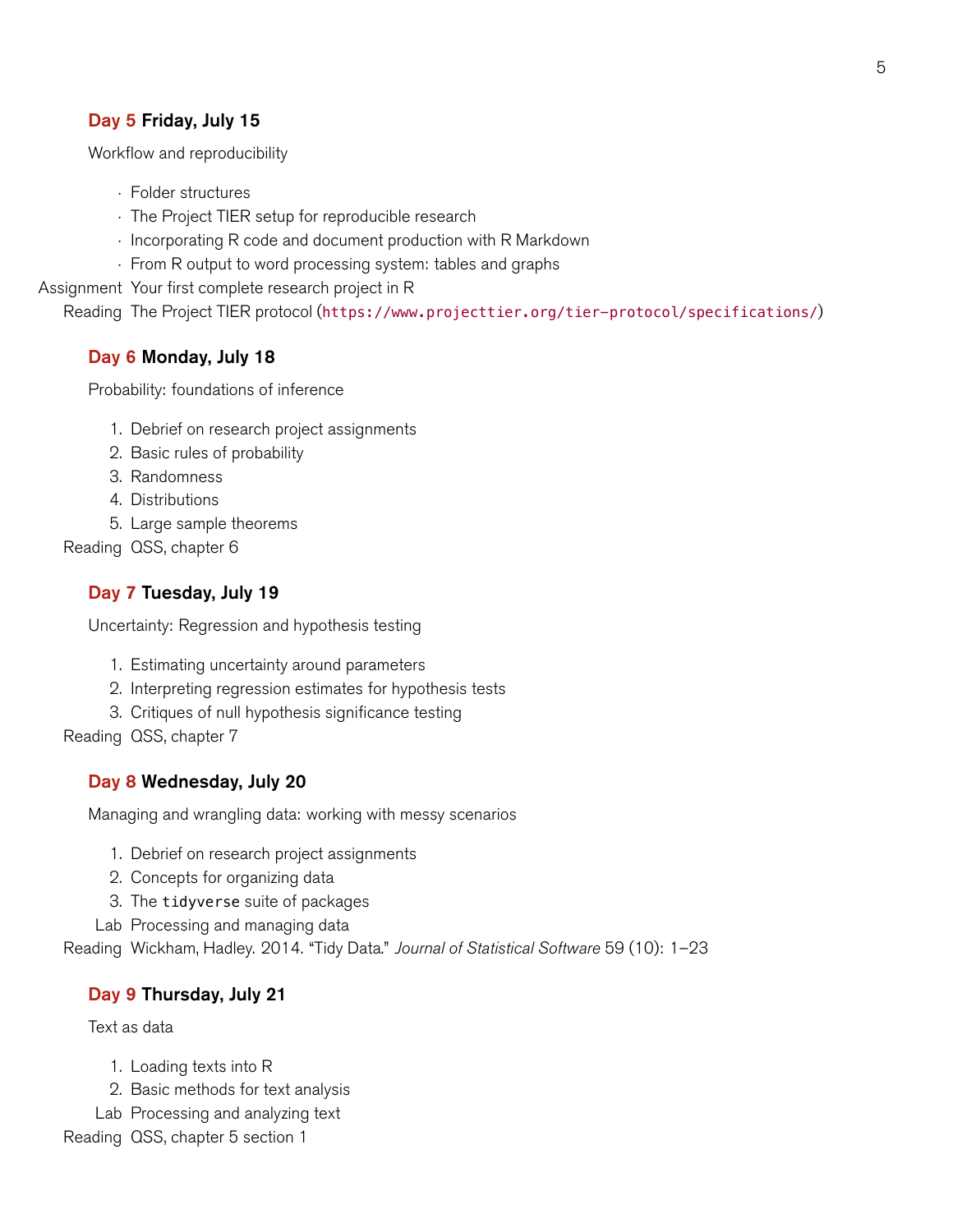## Day 5 Friday, July 15

Workflow and reproducibility

- *·* Folder structures
- *·* The Project TIER setup for reproducible research
- *·* Incorporating R code and document production with R Markdown
- *·* From R output to word processing system: tables and graphs

Assignment Your first complete research project in R

Reading The Project TIER protocol (<https://www.projecttier.org/tier-protocol/specifications/>)

#### Day 6 Monday, July 18

Probability: foundations of inference

- 1. Debrief on research project assignments
- 2. Basic rules of probability
- 3. Randomness
- 4. Distributions
- 5. Large sample theorems

Reading QSS, chapter 6

#### Day 7 Tuesday, July 19

Uncertainty: Regression and hypothesis testing

- 1. Estimating uncertainty around parameters
- 2. Interpreting regression estimates for hypothesis tests
- 3. Critiques of null hypothesis significance testing

Reading QSS, chapter 7

#### Day 8 Wednesday, July 20

Managing and wrangling data: working with messy scenarios

- 1. Debrief on research project assignments
- 2. Concepts for organizing data
- 3. The tidyverse suite of packages
- Lab Processing and managing data

Reading Wickham, Hadley. 2014. "Tidy Data." *Journal of Statistical Software* 59 (10): 1–23

#### Day 9 Thursday, July 21

Text as data

- 1. Loading texts into R
- 2. Basic methods for text analysis
- Lab Processing and analyzing text

Reading QSS, chapter 5 section 1